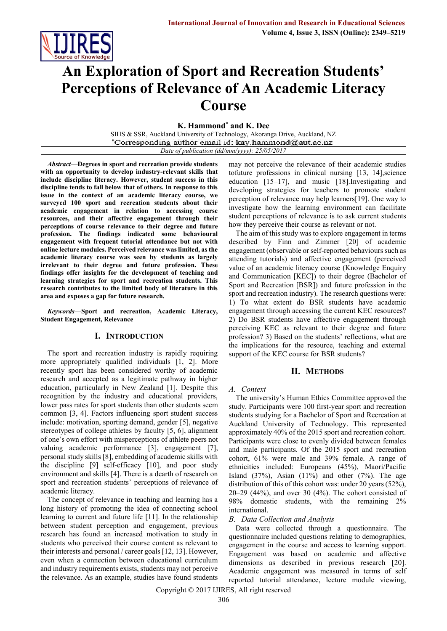

# **An Exploration of Sport and Recreation Students' Perceptions of Relevance of An Academic Literacy Course**

**K. Hammond\* and K. Dee**

SIHS & SSR, Auckland University of Technology, Akoranga Drive, Auckland, NZ \*Corresponding author email id: kay.hammond@aut.ac.nz *Date of publication (dd/mm/yyyy): 25/05/2017*

*Abstract*—**Degrees in sport and recreation provide students with an opportunity to develop industry-relevant skills that include discipline literacy. However, student success in this discipline tends to fall below that of others. In response to this issue in the context of an academic literacy course, we surveyed 100 sport and recreation students about their academic engagement in relation to accessing course resources, and their affective engagement through their perceptions of course relevance to their degree and future profession. The findings indicated some behavioural engagement with frequent tutorial attendance but not with online lecture modules. Perceived relevance was limited, as the academic literacy course was seen by students as largely irrelevant to their degree and future profession. These findings offer insights for the development of teaching and learning strategies for sport and recreation students. This research contributes to the limited body of literature in this area and exposes a gap for future research.**

*Keywords***—Sport and recreation, Academic Literacy, Student Engagement, Relevance** 

#### **I. INTRODUCTION**

The sport and recreation industry is rapidly requiring more appropriately qualified individuals [1, 2]. More recently sport has been considered worthy of academic research and accepted as a legitimate pathway in higher education, particularly in New Zealand [1]. Despite this recognition by the industry and educational providers, lower pass rates for sport students than other students seem common [3, 4]. Factors influencing sport student success include: motivation, sporting demand, gender [5], negative stereotypes of college athletes by faculty [5, 6], alignment of one's own effort with misperceptions of athlete peers not valuing academic performance [3], engagement [7], personal study skills [8], embedding of academic skills with the discipline [9] self-efficacy [10], and poor study environment and skills [4]. There is a dearth of research on sport and recreation students' perceptions of relevance of academic literacy.

The concept of relevance in teaching and learning has a long history of promoting the idea of connecting school learning to current and future life [11]. In the relationship between student perception and engagement, previous research has found an increased motivation to study in students who perceived their course content as relevant to their interests and personal / career goals [12, 13]. However, even when a connection between educational curriculum and industry requirements exists, students may not perceive the relevance. As an example, studies have found students may not perceive the relevance of their academic studies tofuture professions in clinical nursing [13, 14],science education [15–17], and music [18].Investigating and developing strategies for teachers to promote student perception of relevance may help learners[19]. One way to investigate how the learning environment can facilitate student perceptions of relevance is to ask current students how they perceive their course as relevant or not.

The aim of this study was to explore engagement in terms described by Finn and Zimmer [20] of academic engagement (observable or self-reported behaviours such as attending tutorials) and affective engagement (perceived value of an academic literacy course (Knowledge Enquiry and Communication [KEC]) to their degree (Bachelor of Sport and Recreation [BSR]) and future profession in the sport and recreation industry). The research questions were: 1) To what extent do BSR students have academic engagement through accessing the current KEC resources? 2) Do BSR students have affective engagement through perceiving KEC as relevant to their degree and future profession? 3) Based on the students' reflections, what are the implications for the resource, teaching and external support of the KEC course for BSR students?

#### **II. METHODS**

#### *A. Context*

The university's Human Ethics Committee approved the study. Participants were 100 first-year sport and recreation students studying for a Bachelor of Sport and Recreation at Auckland University of Technology. This represented approximately 40% of the 2015 sport and recreation cohort. Participants were close to evenly divided between females and male participants. Of the 2015 sport and recreation cohort, 61% were male and 39% female. A range of ethnicities included: Europeans (45%), Maori/Pacific Island  $(37\%)$ , Asian  $(11\%)$  and other  $(7\%)$ . The age distribution of this of this cohort was: under 20 years (52%),  $20-29$  (44%), and over 30 (4%). The cohort consisted of 98% domestic students, with the remaining 2% international.

#### *B. Data Collection and Analysis*

Data were collected through a questionnaire. The questionnaire included questions relating to demographics, engagement in the course and access to learning support. Engagement was based on academic and affective dimensions as described in previous research [20]. Academic engagement was measured in terms of self reported tutorial attendance, lecture module viewing,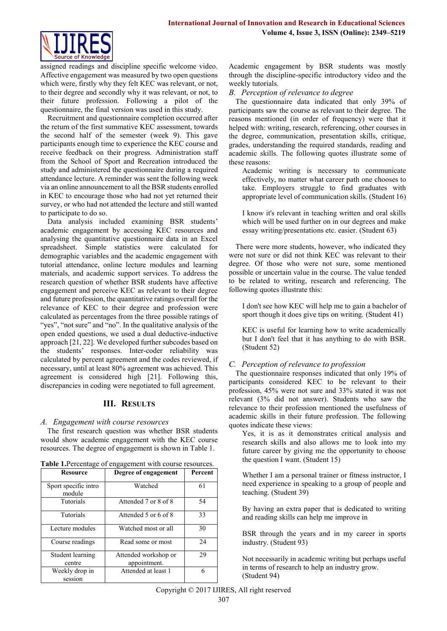

assigned readings and discipline specific welcome video. Affective engagement was measured by two open questions which were, firstly why they felt KEC was relevant, or not, to their degree and secondly why it was relevant, or not, to their future profession. Following a pilot of the questionnaire, the final version was used in this study.

Recruitment and questionnaire completion occurred after the return of the first summative KEC assessment, towards the second half of the semester (week 9). This gave participants enough time to experience the KEC course and receive feedback on their progress. Administration staff from the School of Sport and Recreation introduced the study and administered the questionnaire during a required attendance lecture. A reminder was sent the following week via an online announcement to all the BSR students enrolled in KEC to encourage those who had not yet returned their survey, or who had not attended the lecture and still wanted to participate to do so.

Data analysis included examining BSR students' academic engagement by accessing KEC resources and analysing the quantitative questionnaire data in an Excel spreadsheet. Simple statistics were calculated for demographic variables and the academic engagement with tutorial attendance, online lecture modules and learning materials, and academic support services. To address the research question of whether BSR students have affective engagement and perceive KEC as relevant to their degree and future profession, the quantitative ratings overall for the relevance of KEC to their degree and profession were calculated as percentages from the three possible ratings of "yes", "not sure" and "no". In the qualitative analysis of the open ended questions, we used a dual deductive-inductive approach [21, 22]. We developed further subcodes based on the students' responses. Inter-coder reliability was calculated by percent agreement and the codes reviewed, if necessary, until at least 80% agreement was achieved. This agreement is considered high [21]. Following this, discrepancies in coding were negotiated to full agreement.

## **III. RESULTS**

## *A. Engagement with course resources*

The first research question was whether BSR students would show academic engagement with the KEC course resources. The degree of engagement is shown in Table 1.

|  |  | Table 1. Percentage of engagement with course resources. |  |
|--|--|----------------------------------------------------------|--|
|--|--|----------------------------------------------------------|--|

| Resource                       | Degree of engagement                 | Percent |
|--------------------------------|--------------------------------------|---------|
| Sport specific intro<br>module | Watched                              | 61      |
| <b>Tutorials</b>               | Attended 7 or 8 of 8                 | 54      |
| <b>Tutorials</b>               | Attended 5 or 6 of 8                 | 33      |
| Lecture modules                | Watched most or all                  | 30      |
| Course readings                | Read some or most                    | 24      |
| Student learning<br>centre     | Attended workshop or<br>appointment. | 29      |
| Weekly drop in<br>session      | Attended at least 1                  | 6       |

Academic engagement by BSR students was mostly through the discipline-specific introductory video and the weekly tutorials.

*B. Perception of relevance to degree*

The questionnaire data indicated that only 39% of participants saw the course as relevant to their degree. The reasons mentioned (in order of frequency) were that it helped with: writing, research, referencing, other courses in the degree, communication, presentation skills, critique, grades, understanding the required standards, reading and academic skills. The following quotes illustrate some of these reasons:

Academic writing is necessary to communicate effectively, no matter what career path one chooses to take. Employers struggle to find graduates with appropriate level of communication skills. (Student 16)

I know it's relevant in teaching written and oral skills which will be used further on in our degrees and make essay writing/presentations etc. easier. (Student 63)

There were more students, however, who indicated they were not sure or did not think KEC was relevant to their degree. Of those who were not sure, some mentioned possible or uncertain value in the course. The value tended to be related to writing, research and referencing. The following quotes illustrate this:

I don't see how KEC will help me to gain a bachelor of sport though it does give tips on writing. (Student 41)

KEC is useful for learning how to write academically but I don't feel that it has anything to do with BSR. (Student 52)

## *C. Perception of relevance to profession*

The questionnaire responses indicated that only 19% of participants considered KEC to be relevant to their profession, 45% were not sure and 33% stated it was not relevant (3% did not answer). Students who saw the relevance to their profession mentioned the usefulness of academic skills in their future profession. The following quotes indicate these views:

Yes, it is as it demonstrates critical analysis and research skills and also allows me to look into my future career by giving me the opportunity to choose the question I want. (Student 15)

Whether I am a personal trainer or fitness instructor, I need experience in speaking to a group of people and teaching. (Student 39)

By having an extra paper that is dedicated to writing and reading skills can help me improve in

BSR through the years and in my career in sports industry. (Student 93)

Not necessarily in academic writing but perhaps useful in terms of research to help an industry grow. (Student 94)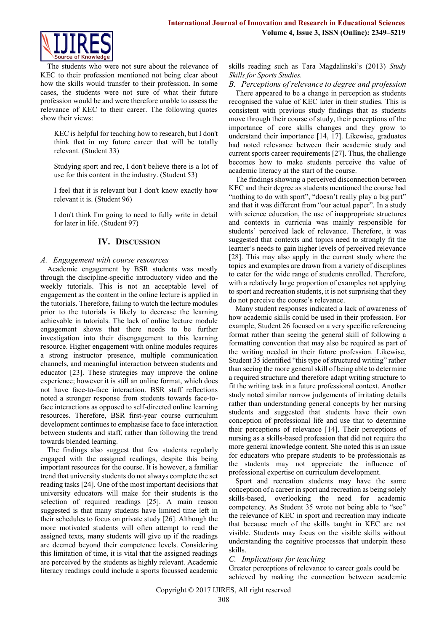

The students who were not sure about the relevance of KEC to their profession mentioned not being clear about how the skills would transfer to their profession. In some cases, the students were not sure of what their future profession would be and were therefore unable to assess the relevance of KEC to their career. The following quotes show their views:

KEC is helpful for teaching how to research, but I don't think that in my future career that will be totally relevant. (Student 33)

Studying sport and rec, I don't believe there is a lot of use for this content in the industry. (Student 53)

I feel that it is relevant but I don't know exactly how relevant it is. (Student 96)

I don't think I'm going to need to fully write in detail for later in life. (Student 97)

## **IV. DISCUSSION**

## *A. Engagement with course resources*

Academic engagement by BSR students was mostly through the discipline-specific introductory video and the weekly tutorials. This is not an acceptable level of engagement as the content in the online lecture is applied in the tutorials. Therefore, failing to watch the lecture modules prior to the tutorials is likely to decrease the learning achievable in tutorials. The lack of online lecture module engagement shows that there needs to be further investigation into their disengagement to this learning resource. Higher engagement with online modules requires a strong instructor presence, multiple communication channels, and meaningful interaction between students and educator [23]. These strategies may improve the online experience; however it is still an online format, which does not have face-to-face interaction. BSR staff reflections noted a stronger response from students towards face-toface interactions as opposed to self-directed online learning resources. Therefore, BSR first-year course curriculum development continues to emphasise face to face interaction between students and staff, rather than following the trend towards blended learning.

The findings also suggest that few students regularly engaged with the assigned readings, despite this being important resources for the course. It is however, a familiar trend that university students do not always complete the set reading tasks [24]. One of the most important decisions that university educators will make for their students is the selection of required readings [25]. A main reason suggested is that many students have limited time left in their schedules to focus on private study [26]. Although the more motivated students will often attempt to read the assigned texts, many students will give up if the readings are deemed beyond their competence levels. Considering this limitation of time, it is vital that the assigned readings are perceived by the students as highly relevant. Academic literacy readings could include a sports focussed academic skills reading such as Tara Magdalinski's (2013) *Study Skills for Sports Studies.*

*B. Perceptions of relevance to degree and profession*

There appeared to be a change in perception as students recognised the value of KEC later in their studies. This is consistent with previous study findings that as students move through their course of study, their perceptions of the importance of core skills changes and they grow to understand their importance [14, 17]. Likewise, graduates had noted relevance between their academic study and current sports career requirements [27]. Thus, the challenge becomes how to make students perceive the value of academic literacy at the start of the course.

The findings showing a perceived disconnection between KEC and their degree as students mentioned the course had "nothing to do with sport", "doesn't really play a big part" and that it was different from "our actual paper". In a study with science education, the use of inappropriate structures and contexts in curricula was mainly responsible for students' perceived lack of relevance. Therefore, it was suggested that contexts and topics need to strongly fit the learner's needs to gain higher levels of perceived relevance [28]. This may also apply in the current study where the topics and examples are drawn from a variety of disciplines to cater for the wide range of students enrolled. Therefore, with a relatively large proportion of examples not applying to sport and recreation students, it is not surprising that they do not perceive the course's relevance.

Many student responses indicated a lack of awareness of how academic skills could be used in their profession. For example, Student 26 focused on a very specific referencing format rather than seeing the general skill of following a formatting convention that may also be required as part of the writing needed in their future profession. Likewise, Student 35 identified "this type of structured writing" rather than seeing the more general skill of being able to determine a required structure and therefore adapt writing structure to fit the writing task in a future professional context. Another study noted similar narrow judgements of irritating details rather than understanding general concepts by her nursing students and suggested that students have their own conception of professional life and use that to determine their perceptions of relevance [14]. Their perceptions of nursing as a skills-based profession that did not require the more general knowledge content. She noted this is an issue for educators who prepare students to be professionals as the students may not appreciate the influence of professional expertise on curriculum development.

Sport and recreation students may have the same conception of a career in sport and recreation as being solely skills-based, overlooking the need for academic competency. As Student 35 wrote not being able to "see" the relevance of KEC in sport and recreation may indicate that because much of the skills taught in KEC are not visible. Students may focus on the visible skills without understanding the cognitive processes that underpin these skills.

## *C. Implications for teaching*

Greater perceptions of relevance to career goals could be achieved by making the connection between academic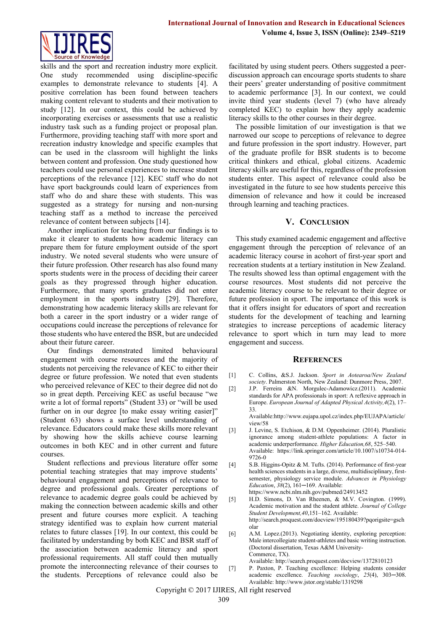

skills and the sport and recreation industry more explicit. One study recommended using discipline-specific examples to demonstrate relevance to students [4]. A positive correlation has been found between teachers making content relevant to students and their motivation to study [12]. In our context, this could be achieved by incorporating exercises or assessments that use a realistic industry task such as a funding project or proposal plan. Furthermore, providing teaching staff with more sport and recreation industry knowledge and specific examples that can be used in the classroom will highlight the links between content and profession. One study questioned how teachers could use personal experiences to increase student perceptions of the relevance [12]. KEC staff who do not have sport backgrounds could learn of experiences from staff who do and share these with students. This was suggested as a strategy for nursing and non-nursing teaching staff as a method to increase the perceived relevance of content between subjects [14].

Another implication for teaching from our findings is to make it clearer to students how academic literacy can prepare them for future employment outside of the sport industry. We noted several students who were unsure of their future profession. Other research has also found many sports students were in the process of deciding their career goals as they progressed through higher education. Furthermore, that many sports graduates did not enter employment in the sports industry [29]. Therefore, demonstrating how academic literacy skills are relevant for both a career in the sport industry or a wider range of occupations could increase the perceptions of relevance for those students who have entered the BSR, but are undecided about their future career.

Our findings demonstrated limited behavioural engagement with course resources and the majority of students not perceiving the relevance of KEC to either their degree or future profession. We noted that even students who perceived relevance of KEC to their degree did not do so in great depth. Perceiving KEC as useful because "we write a lot of formal reports" (Student 33) or "will be used further on in our degree [to make essay writing easier]" (Student 63) shows a surface level understanding of relevance. Educators could make these skills more relevant by showing how the skills achieve course learning outcomes in both KEC and in other current and future courses.

Student reflections and previous literature offer some potential teaching strategies that may improve students' behavioural engagement and perceptions of relevance to degree and professional goals. Greater perceptions of relevance to academic degree goals could be achieved by making the connection between academic skills and other present and future courses more explicit. A teaching strategy identified was to explain how current material relates to future classes [19]. In our context, this could be facilitated by understanding by both KEC and BSR staff of the association between academic literacy and sport professional requirements. All staff could then mutually promote the interconnecting relevance of their courses to the students. Perceptions of relevance could also be facilitated by using student peers. Others suggested a peerdiscussion approach can encourage sports students to share their peers' greater understanding of positive commitment to academic performance [3]. In our context, we could invite third year students (level 7) (who have already completed KEC) to explain how they apply academic literacy skills to the other courses in their degree.

The possible limitation of our investigation is that we narrowed our scope to perceptions of relevance to degree and future profession in the sport industry. However, part of the graduate profile for BSR students is to become critical thinkers and ethical, global citizens. Academic literacy skills are useful for this, regardless of the profession students enter. This aspect of relevance could also be investigated in the future to see how students perceive this dimension of relevance and how it could be increased through learning and teaching practices.

# **V. CONCLUSION**

This study examined academic engagement and affective engagement through the perception of relevance of an academic literacy course in acohort of first-year sport and recreation students at a tertiary institution in New Zealand. The results showed less than optimal engagement with the course resources. Most students did not perceive the academic literacy course to be relevant to their degree or future profession in sport. The importance of this work is that it offers insight for educators of sport and recreation students for the development of teaching and learning strategies to increase perceptions of academic literacy relevance to sport which in turn may lead to more engagement and success.

#### **REFERENCES**

- [1] C. Collins, &S.J. Jackson. *Sport in Aotearoa/New Zealand society*. Palmerston North, New Zealand: Dunmore Press, 2007.
- [2] J.P. Ferreira &N. Morgulec-Adamowicz.(2011). Academic standards for APA professionals in sport: A reflexive approach in Europe. *European Journal of Adapted Physical Activity,4*(2), 17– 33.

Availabl[e:http://www.eujapa.upol.cz/index.php/EUJAPA/article/](http://www.eujapa.upol.cz/index.php/EUJAPA/article/view/58) [view/58](http://www.eujapa.upol.cz/index.php/EUJAPA/article/view/58)

- [3] J. Levine, S. Etchison, & D.M. Oppenheimer. (2014). Pluralistic ignorance among student-athlete populations: A factor in academic underperformance. *Higher Education,68*, 525-540. Available: [https://link.springer.com/article/10.1007/s10734-014-](https://link.springer.com/article/10.1007/s10734-014-9726-0) [9726-0](https://link.springer.com/article/10.1007/s10734-014-9726-0)
- [4] S.B. Higgins-Opitz & M. Tufts. (2014). Performance of first-year health sciences students in a large, diverse, multidisciplinary, firstsemester, physiology service module. *Advances in Physiology Education*, *38*(2), 161─169. Available: <https://www.ncbi.nlm.nih.gov/pubmed/24913452>
- [5] H.D. Simons, D. Van Rheenen, & M.V. Covington. (1999). Academic motivation and the student athlete. *Journal of College*  Student Development, 40, 151-162. Available: [http://search.proquest.com/docview/195180439?pqorigsite=gsch](http://search.proquest.com/docview/195180439?pqorigsite=gscholar) [olar](http://search.proquest.com/docview/195180439?pqorigsite=gscholar)
- [6] A.M. Lopez.(2013). Negotiating identity, exploring perception: Male intercollegiate student-athletes and basic writing instruction. (Doctoral dissertation, Texas A&M University-Commerce, TX).

Available[: http://search.proquest.com/docview/1372810123](http://search.proquest.com/docview/1372810123)

[7] P. Paxton, P. Teaching excellence: Helping students consider academic excellence. *Teaching sociology*, *25*(4), 303─308. Available[: http://www.jstor.org/stable/1319298](http://www.jstor.org/stable/1319298)